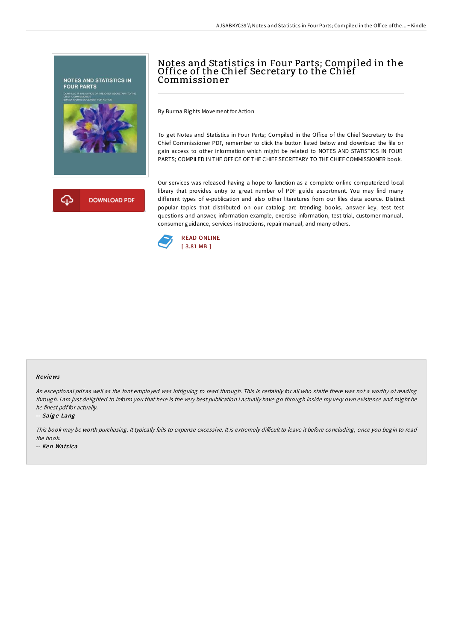

# Notes and Statistics in Four Parts; Compiled in the Office of the Chief Secretary to the Chief Commissioner

By Burma Rights Movement for Action

To get Notes and Statistics in Four Parts; Compiled in the Office of the Chief Secretary to the Chief Commissioner PDF, remember to click the button listed below and download the file or gain access to other information which might be related to NOTES AND STATISTICS IN FOUR PARTS; COMPILED IN THE OFFICE OF THE CHIEF SECRETARY TO THE CHIEF COMMISSIONER book.

Our services was released having a hope to function as a complete online computerized local library that provides entry to great number of PDF guide assortment. You may find many different types of e-publication and also other literatures from our files data source. Distinct popular topics that distributed on our catalog are trending books, answer key, test test questions and answer, information example, exercise information, test trial, customer manual, consumer guidance, services instructions, repair manual, and many others.



#### Re views

An exceptional pdf as well as the font employed was intriguing to read through. This is certainly for all who statte there was not <sup>a</sup> worthy of reading through. <sup>I</sup> am just delighted to inform you that here is the very best publication i actually have go through inside my very own existence and might be he finest pdf for actually.

#### -- Saige Lang

This book may be worth purchasing. It typically fails to expense excessive. It is extremely difficult to leave it before concluding, once you begin to read the book.

-- Ken Watsica